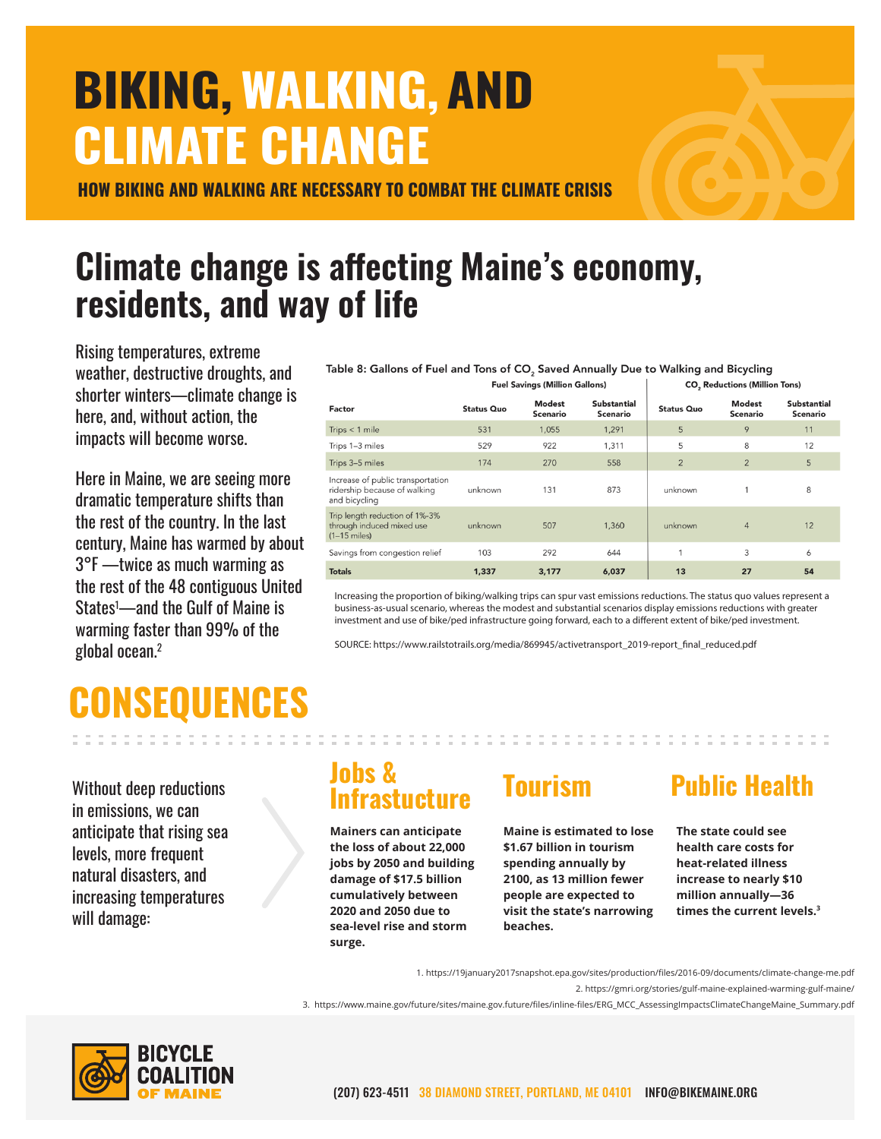# BIKING,WALKING, AND CLIMATE CHANGE

HOW BIKING AND WALKING ARE NECESSARY TO COMBAT THE CLIMATE CRISIS

### Climate change is affecting Maine's economy, residents, and way of life

Rising temperatures, extreme weather, destructive droughts, and shorter winters—climate change is here, and, without action, the impacts will become worse.

Here in Maine, we are seeing more dramatic temperature shifts than the rest of the country. In the last century, Maine has warmed by about 3°F —twice as much warming as the rest of the 48 contiguous United States1 —and the Gulf of Maine is warming faster than 99% of the global ocean.2

Table 8: Gallons of Fuel and Tons of CO<sub>2</sub> Saved Annually Due to Walking and Bicycling  $\mathbf{A}$ 

|                                                                                    | <b>Fuel Savings (Million Gallons)</b> |                           |                                | CO, Reductions (Million Tons) |                    |                                |
|------------------------------------------------------------------------------------|---------------------------------------|---------------------------|--------------------------------|-------------------------------|--------------------|--------------------------------|
| Factor                                                                             | <b>Status Quo</b>                     | <b>Modest</b><br>Scenario | <b>Substantial</b><br>Scenario | <b>Status Quo</b>             | Modest<br>Scenario | <b>Substantial</b><br>Scenario |
| Trips $<$ 1 mile                                                                   | 531                                   | 1,055                     | 1,291                          | 5                             | 9                  | 11                             |
| Trips 1-3 miles                                                                    | 529                                   | 922                       | 1,311                          | 5                             | 8                  | 12                             |
| Trips 3-5 miles                                                                    | 174                                   | 270                       | 558                            | $\overline{2}$                | $\overline{2}$     | 5                              |
| Increase of public transportation<br>ridership because of walking<br>and bicycling | unknown                               | 131                       | 873                            | unknown                       |                    | 8                              |
| Trip length reduction of 1%-3%<br>through induced mixed use<br>$(1-15$ miles)      | unknown                               | 507                       | 1,360                          | unknown                       | $\overline{4}$     | 12                             |
| Savings from congestion relief                                                     | 103                                   | 292                       | 644                            |                               | 3                  | 6                              |
| <b>Totals</b>                                                                      | 1,337                                 | 3,177                     | 6,037                          | 13                            | 27                 | 54                             |

Increasing the proportion of biking/walking trips can spur vast emissions reductions. The status quo values represent a business-as-usual scenario, whereas the modest and substantial scenarios display emissions reductions with greater investment and use of bike/ped infrastructure going forward, each to a different extent of bike/ped investment.

SOURCE: https://www.railstotrails.org/media/869945/activetransport\_2019-report\_final\_reduced.pdf

## CONSEQUENCES

Without deep reductions in emissions, we can anticipate that rising sea levels, more frequent natural disasters, and increasing temperatures will damage:

### Jobs & J<sup>uus &</sup> Tourism Public Health

**Mainers can anticipate the loss of about 22,000 jobs by 2050 and building damage of \$17.5 billion cumulatively between 2020 and 2050 due to sea-level rise and storm surge.** 

**Maine is estimated to lose \$1.67 billion in tourism spending annually by 2100, as 13 million fewer people are expected to visit the state's narrowing beaches.**

**The state could see health care costs for heat-related illness increase to nearly \$10 million annually—36 times the current levels.3**

1. https://19january2017snapshot.epa.gov/sites/production/files/2016-09/documents/climate-change-me.pdf

2. https://gmri.org/stories/gulf-maine-explained-warming-gulf-maine/

3. https://www.maine.gov/future/sites/maine.gov.future/files/inline-files/ERG\_MCC\_AssessingImpactsClimateChangeMaine\_Summary.pdf